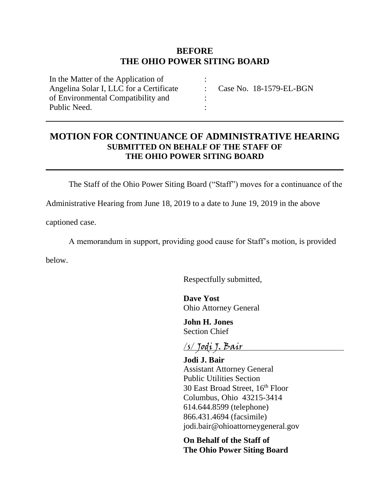# **BEFORE THE OHIO POWER SITING BOARD**

| $\bullet$<br>$\bullet$ |                         |
|------------------------|-------------------------|
|                        | Case No. 18-1579-EL-BGN |
|                        |                         |
|                        |                         |
|                        |                         |

## **MOTION FOR CONTINUANCE OF ADMINISTRATIVE HEARING SUBMITTED ON BEHALF OF THE STAFF OF THE OHIO POWER SITING BOARD**

The Staff of the Ohio Power Siting Board ("Staff") moves for a continuance of the

Administrative Hearing from June 18, 2019 to a date to June 19, 2019 in the above

captioned case.

A memorandum in support, providing good cause for Staff's motion, is provided

below.

Respectfully submitted,

**Dave Yost** Ohio Attorney General

**John H. Jones** Section Chief

/s/ Jodi J. Bair

**Jodi J. Bair** Assistant Attorney General Public Utilities Section 30 East Broad Street, 16th Floor Columbus, Ohio 43215-3414 614.644.8599 (telephone) 866.431.4694 (facsimile) jodi.bair@ohioattorneygeneral.gov

**On Behalf of the Staff of The Ohio Power Siting Board**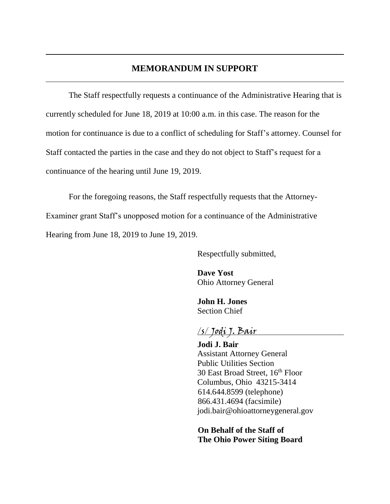### **MEMORANDUM IN SUPPORT**

The Staff respectfully requests a continuance of the Administrative Hearing that is currently scheduled for June 18, 2019 at 10:00 a.m. in this case. The reason for the motion for continuance is due to a conflict of scheduling for Staff's attorney. Counsel for Staff contacted the parties in the case and they do not object to Staff's request for a continuance of the hearing until June 19, 2019.

For the foregoing reasons, the Staff respectfully requests that the Attorney-Examiner grant Staff's unopposed motion for a continuance of the Administrative Hearing from June 18, 2019 to June 19, 2019.

Respectfully submitted,

**Dave Yost** Ohio Attorney General

**John H. Jones** Section Chief

## /s/ Jodi J. Bair

**Jodi J. Bair** Assistant Attorney General Public Utilities Section 30 East Broad Street, 16th Floor Columbus, Ohio 43215-3414 614.644.8599 (telephone) 866.431.4694 (facsimile) jodi.bair@ohioattorneygeneral.gov

**On Behalf of the Staff of The Ohio Power Siting Board**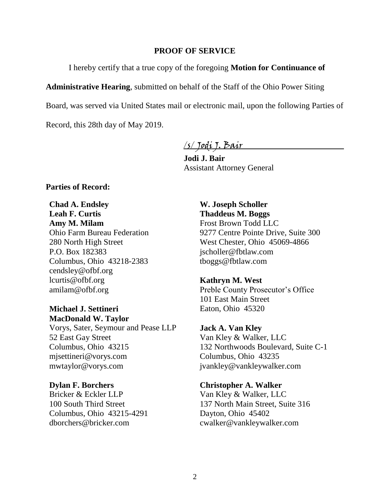#### **PROOF OF SERVICE**

I hereby certify that a true copy of the foregoing **Motion for Continuance of** 

**Administrative Hearing**, submitted on behalf of the Staff of the Ohio Power Siting

Board, was served via United States mail or electronic mail, upon the following Parties of

Record, this 28th day of May 2019.

/s/ Jodi J. Bair

**Jodi J. Bair** Assistant Attorney General

#### **Parties of Record:**

**Chad A. Endsley Leah F. Curtis Amy M. Milam** Ohio Farm Bureau Federation 280 North High Street P.O. Box 182383 Columbus, Ohio 43218-2383 cendsley@ofbf.org lcurtis@ofbf.org amilam@ofbf.org

**Michael J. Settineri MacDonald W. Taylor** Vorys, Sater, Seymour and Pease LLP

52 East Gay Street Columbus, Ohio 43215 mjsettineri@vorys.com mwtaylor@vorys.com

#### **Dylan F. Borchers**

Bricker & Eckler LLP 100 South Third Street Columbus, Ohio 43215-4291 dborchers@bricker.com

**W. Joseph Scholler Thaddeus M. Boggs** Frost Brown Todd LLC 9277 Centre Pointe Drive, Suite 300 West Chester, Ohio 45069-4866 jscholler@fbtlaw.com tboggs@fbtlaw.com

#### **Kathryn M. West**

Preble County Prosecutor's Office 101 East Main Street Eaton, Ohio 45320

### **Jack A. Van Kley**

Van Kley & Walker, LLC 132 Northwoods Boulevard, Suite C-1 Columbus, Ohio 43235 jvankley@vankleywalker.com

#### **Christopher A. Walker**

Van Kley & Walker, LLC 137 North Main Street, Suite 316 Dayton, Ohio 45402 cwalker@vankleywalker.com